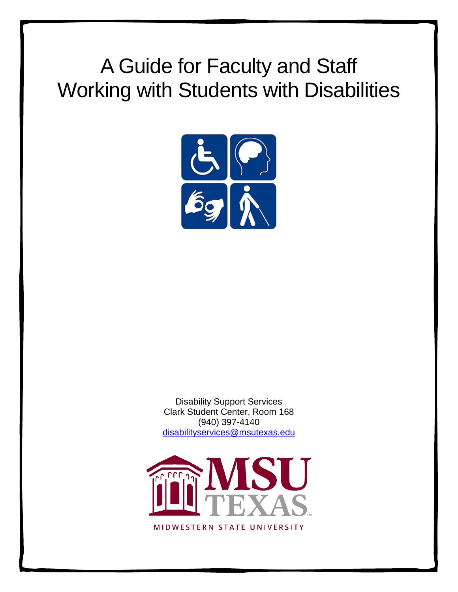# A Guide for Faculty and Staff Working with Students with Disabilities



Disability Support Services Clark Student Center, Room 168 (940) 397-4140 [disabilityservices@msutexas.edu](mailto:disabilityservices@msutexas.edu)



MIDWESTERN STATE UNIVERSITY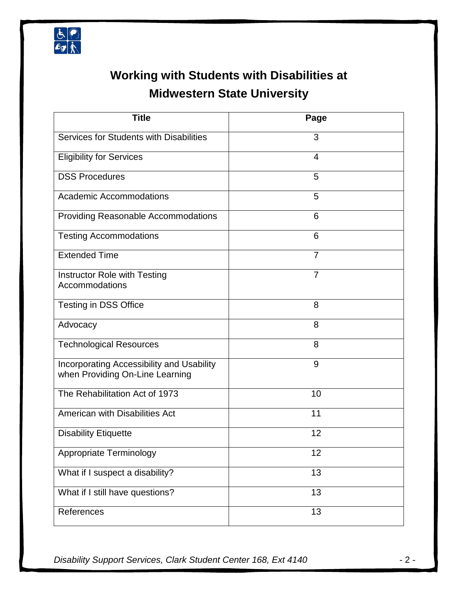

## **Working with Students with Disabilities at Midwestern State University**

| <b>Title</b>                                                                 | Page           |
|------------------------------------------------------------------------------|----------------|
| Services for Students with Disabilities                                      | 3              |
| <b>Eligibility for Services</b>                                              | 4              |
| <b>DSS Procedures</b>                                                        | 5              |
| <b>Academic Accommodations</b>                                               | 5              |
| Providing Reasonable Accommodations                                          | 6              |
| <b>Testing Accommodations</b>                                                | 6              |
| <b>Extended Time</b>                                                         | $\overline{7}$ |
| Instructor Role with Testing<br>Accommodations                               | $\overline{7}$ |
| <b>Testing in DSS Office</b>                                                 | 8              |
| Advocacy                                                                     | 8              |
| <b>Technological Resources</b>                                               | 8              |
| Incorporating Accessibility and Usability<br>when Providing On-Line Learning | 9              |
| The Rehabilitation Act of 1973                                               | 10             |
| American with Disabilities Act                                               | 11             |
| <b>Disability Etiquette</b>                                                  | 12             |
| <b>Appropriate Terminology</b>                                               | 12             |
| What if I suspect a disability?                                              | 13             |
| What if I still have questions?                                              | 13             |
| References                                                                   | 13             |

*Disability Support Services, Clark Student Center 168, Ext 4140* - 2 -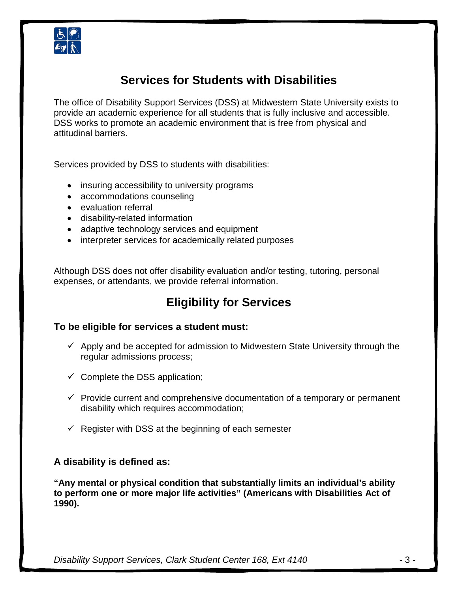

### **Services for Students with Disabilities**

The office of Disability Support Services (DSS) at Midwestern State University exists to provide an academic experience for all students that is fully inclusive and accessible. DSS works to promote an academic environment that is free from physical and attitudinal barriers.

Services provided by DSS to students with disabilities:

- insuring accessibility to university programs
- accommodations counseling
- evaluation referral
- disability-related information
- adaptive technology services and equipment
- interpreter services for academically related purposes

Although DSS does not offer disability evaluation and/or testing, tutoring, personal expenses, or attendants, we provide referral information.

### **Eligibility for Services**

#### **To be eligible for services a student must:**

- $\checkmark$  Apply and be accepted for admission to Midwestern State University through the regular admissions process;
- $\checkmark$  Complete the DSS application;
- $\checkmark$  Provide current and comprehensive documentation of a temporary or permanent disability which requires accommodation;
- $\checkmark$  Register with DSS at the beginning of each semester

#### **A disability is defined as:**

**"Any mental or physical condition that substantially limits an individual's ability to perform one or more major life activities" (Americans with Disabilities Act of 1990).**

*Disability Support Services, Clark Student Center 168, Ext 4140* - 3 -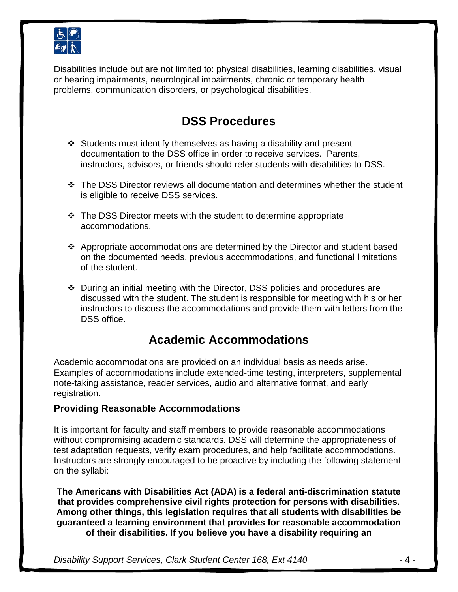

Disabilities include but are not limited to: physical disabilities, learning disabilities, visual or hearing impairments, neurological impairments, chronic or temporary health problems, communication disorders, or psychological disabilities.

### **DSS Procedures**

- $\div$  Students must identify themselves as having a disability and present documentation to the DSS office in order to receive services. Parents, instructors, advisors, or friends should refer students with disabilities to DSS.
- The DSS Director reviews all documentation and determines whether the student is eligible to receive DSS services.
- $\cdot$  The DSS Director meets with the student to determine appropriate accommodations.
- $\div$  Appropriate accommodations are determined by the Director and student based on the documented needs, previous accommodations, and functional limitations of the student.
- During an initial meeting with the Director, DSS policies and procedures are discussed with the student. The student is responsible for meeting with his or her instructors to discuss the accommodations and provide them with letters from the DSS office.

### **Academic Accommodations**

Academic accommodations are provided on an individual basis as needs arise. Examples of accommodations include extended-time testing, interpreters, supplemental note-taking assistance, reader services, audio and alternative format, and early registration.

#### **Providing Reasonable Accommodations**

It is important for faculty and staff members to provide reasonable accommodations without compromising academic standards. DSS will determine the appropriateness of test adaptation requests, verify exam procedures, and help facilitate accommodations. Instructors are strongly encouraged to be proactive by including the following statement on the syllabi:

**The Americans with Disabilities Act (ADA) is a federal anti-discrimination statute that provides comprehensive civil rights protection for persons with disabilities. Among other things, this legislation requires that all students with disabilities be guaranteed a learning environment that provides for reasonable accommodation of their disabilities. If you believe you have a disability requiring an** 

*Disability Support Services, Clark Student Center 168, Ext 4140* - 4 -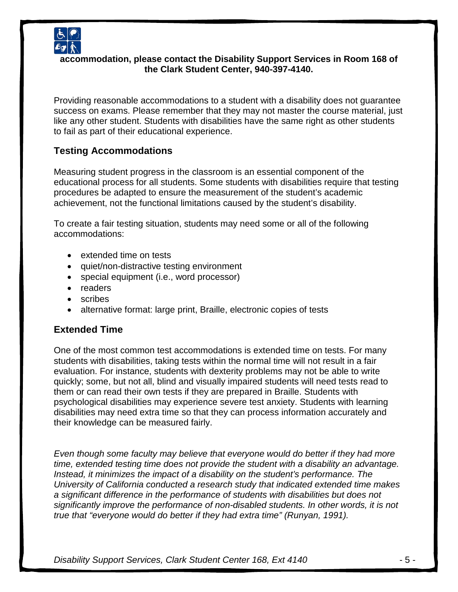

#### **accommodation, please contact the Disability Support Services in Room 168 of the Clark Student Center, 940-397-4140.**

Providing reasonable accommodations to a student with a disability does not guarantee success on exams. Please remember that they may not master the course material, just like any other student. Students with disabilities have the same right as other students to fail as part of their educational experience.

#### **Testing Accommodations**

Measuring student progress in the classroom is an essential component of the educational process for all students. Some students with disabilities require that testing procedures be adapted to ensure the measurement of the student's academic achievement, not the functional limitations caused by the student's disability.

To create a fair testing situation, students may need some or all of the following accommodations:

- extended time on tests
- quiet/non-distractive testing environment
- special equipment (i.e., word processor)
- readers
- scribes
- alternative format: large print, Braille, electronic copies of tests

#### **Extended Time**

One of the most common test accommodations is extended time on tests. For many students with disabilities, taking tests within the normal time will not result in a fair evaluation. For instance, students with dexterity problems may not be able to write quickly; some, but not all, blind and visually impaired students will need tests read to them or can read their own tests if they are prepared in Braille. Students with psychological disabilities may experience severe test anxiety. Students with learning disabilities may need extra time so that they can process information accurately and their knowledge can be measured fairly.

*Even though some faculty may believe that everyone would do better if they had more time, extended testing time does not provide the student with a disability an advantage. Instead, it minimizes the impact of a disability on the student's performance. The University of California conducted a research study that indicated extended time makes a significant difference in the performance of students with disabilities but does not significantly improve the performance of non-disabled students. In other words, it is not true that "everyone would do better if they had extra time" (Runyan, 1991).*

*Disability Support Services, Clark Student Center 168, Ext 4140* - 5 -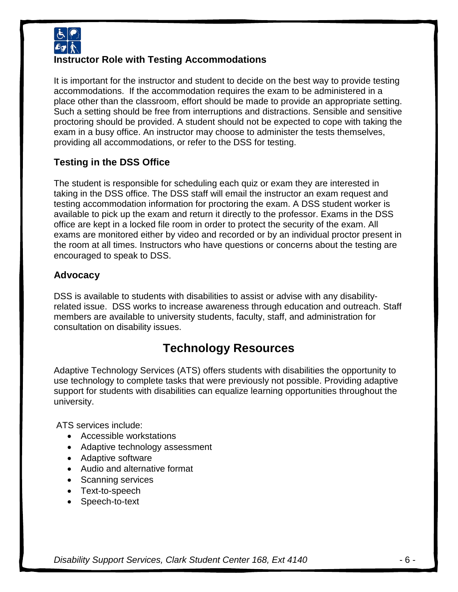

#### **Instructor Role with Testing Accommodations**

It is important for the instructor and student to decide on the best way to provide testing accommodations. If the accommodation requires the exam to be administered in a place other than the classroom, effort should be made to provide an appropriate setting. Such a setting should be free from interruptions and distractions. Sensible and sensitive proctoring should be provided. A student should not be expected to cope with taking the exam in a busy office. An instructor may choose to administer the tests themselves, providing all accommodations, or refer to the DSS for testing.

#### **Testing in the DSS Office**

The student is responsible for scheduling each quiz or exam they are interested in taking in the DSS office. The DSS staff will email the instructor an exam request and testing accommodation information for proctoring the exam. A DSS student worker is available to pick up the exam and return it directly to the professor. Exams in the DSS office are kept in a locked file room in order to protect the security of the exam. All exams are monitored either by video and recorded or by an individual proctor present in the room at all times. Instructors who have questions or concerns about the testing are encouraged to speak to DSS.

#### **Advocacy**

DSS is available to students with disabilities to assist or advise with any disabilityrelated issue. DSS works to increase awareness through education and outreach. Staff members are available to university students, faculty, staff, and administration for consultation on disability issues.

### **Technology Resources**

Adaptive Technology Services (ATS) offers students with disabilities the opportunity to use technology to complete tasks that were previously not possible. Providing adaptive support for students with disabilities can equalize learning opportunities throughout the university.

ATS services include:

- Accessible workstations
- Adaptive technology assessment
- Adaptive software
- Audio and alternative format
- Scanning services
- Text-to-speech
- Speech-to-text

*Disability Support Services, Clark Student Center 168, Ext 4140* - 6 -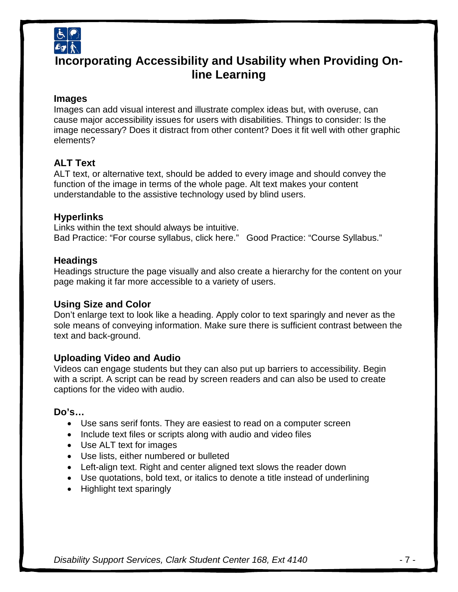

### **Incorporating Accessibility and Usability when Providing Online Learning**

#### **Images**

Images can add visual interest and illustrate complex ideas but, with overuse, can cause major accessibility issues for users with disabilities. Things to consider: Is the image necessary? Does it distract from other content? Does it fit well with other graphic elements?

#### **ALT Text**

ALT text, or alternative text, should be added to every image and should convey the function of the image in terms of the whole page. Alt text makes your content understandable to the assistive technology used by blind users.

#### **Hyperlinks**

Links within the text should always be intuitive. Bad Practice: "For course syllabus, click here." Good Practice: "Course Syllabus."

#### **Headings**

Headings structure the page visually and also create a hierarchy for the content on your page making it far more accessible to a variety of users.

#### **Using Size and Color**

Don't enlarge text to look like a heading. Apply color to text sparingly and never as the sole means of conveying information. Make sure there is sufficient contrast between the text and back-ground.

#### **Uploading Video and Audio**

Videos can engage students but they can also put up barriers to accessibility. Begin with a script. A script can be read by screen readers and can also be used to create captions for the video with audio.

#### **Do's…**

- Use sans serif fonts. They are easiest to read on a computer screen
- Include text files or scripts along with audio and video files
- Use ALT text for images
- Use lists, either numbered or bulleted
- Left-align text. Right and center aligned text slows the reader down
- Use quotations, bold text, or italics to denote a title instead of underlining
- Highlight text sparingly

*Disability Support Services, Clark Student Center 168, Ext 4140* - 7 -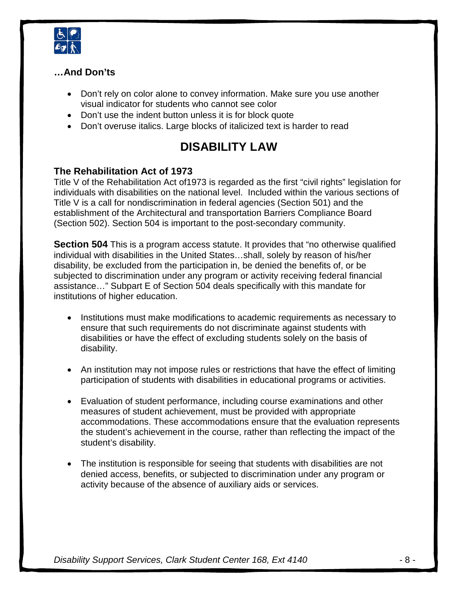

#### **…And Don'ts**

- Don't rely on color alone to convey information. Make sure you use another visual indicator for students who cannot see color
- Don't use the indent button unless it is for block quote
- Don't overuse italics. Large blocks of italicized text is harder to read

### **DISABILITY LAW**

#### **The Rehabilitation Act of 1973**

Title V of the Rehabilitation Act of1973 is regarded as the first "civil rights" legislation for individuals with disabilities on the national level. Included within the various sections of Title V is a call for nondiscrimination in federal agencies (Section 501) and the establishment of the Architectural and transportation Barriers Compliance Board (Section 502). Section 504 is important to the post-secondary community.

**Section 504** This is a program access statute. It provides that "no otherwise qualified individual with disabilities in the United States…shall, solely by reason of his/her disability, be excluded from the participation in, be denied the benefits of, or be subjected to discrimination under any program or activity receiving federal financial assistance…" Subpart E of Section 504 deals specifically with this mandate for institutions of higher education.

- Institutions must make modifications to academic requirements as necessary to ensure that such requirements do not discriminate against students with disabilities or have the effect of excluding students solely on the basis of disability.
- An institution may not impose rules or restrictions that have the effect of limiting participation of students with disabilities in educational programs or activities.
- Evaluation of student performance, including course examinations and other measures of student achievement, must be provided with appropriate accommodations. These accommodations ensure that the evaluation represents the student's achievement in the course, rather than reflecting the impact of the student's disability.
- The institution is responsible for seeing that students with disabilities are not denied access, benefits, or subjected to discrimination under any program or activity because of the absence of auxiliary aids or services.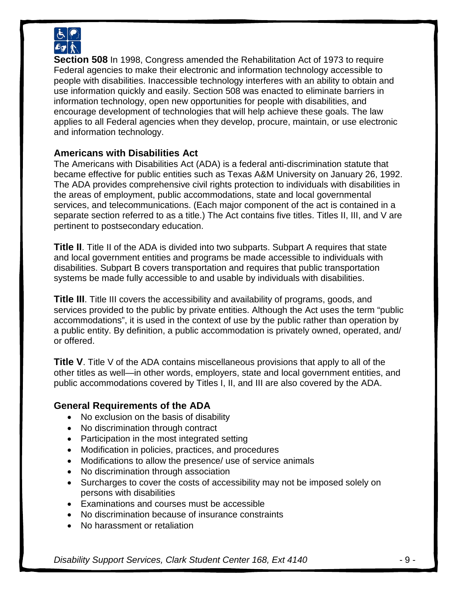

**Section 508** In 1998, Congress amended the Rehabilitation Act of 1973 to require Federal agencies to make their electronic and information technology accessible to people with disabilities. Inaccessible technology interferes with an ability to obtain and use information quickly and easily. Section 508 was enacted to eliminate barriers in information technology, open new opportunities for people with disabilities, and encourage development of technologies that will help achieve these goals. The law applies to all Federal agencies when they develop, procure, maintain, or use electronic and information technology.

#### **Americans with Disabilities Act**

The Americans with Disabilities Act (ADA) is a federal anti-discrimination statute that became effective for public entities such as Texas A&M University on January 26, 1992. The ADA provides comprehensive civil rights protection to individuals with disabilities in the areas of employment, public accommodations, state and local governmental services, and telecommunications. (Each major component of the act is contained in a separate section referred to as a title.) The Act contains five titles. Titles II, III, and V are pertinent to postsecondary education.

**Title II**. Title II of the ADA is divided into two subparts. Subpart A requires that state and local government entities and programs be made accessible to individuals with disabilities. Subpart B covers transportation and requires that public transportation systems be made fully accessible to and usable by individuals with disabilities.

**Title III**. Title III covers the accessibility and availability of programs, goods, and services provided to the public by private entities. Although the Act uses the term "public accommodations", it is used in the context of use by the public rather than operation by a public entity. By definition, a public accommodation is privately owned, operated, and/ or offered.

**Title V**. Title V of the ADA contains miscellaneous provisions that apply to all of the other titles as well—in other words, employers, state and local government entities, and public accommodations covered by Titles I, II, and III are also covered by the ADA.

#### **General Requirements of the ADA**

- No exclusion on the basis of disability
- No discrimination through contract
- Participation in the most integrated setting
- Modification in policies, practices, and procedures
- Modifications to allow the presence/ use of service animals
- No discrimination through association
- Surcharges to cover the costs of accessibility may not be imposed solely on persons with disabilities
- Examinations and courses must be accessible
- No discrimination because of insurance constraints
- No harassment or retaliation

*Disability Support Services, Clark Student Center 168, Ext 4140* - 9 -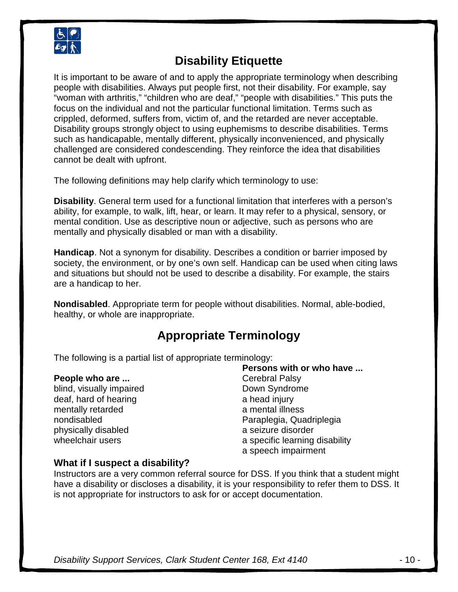

### **Disability Etiquette**

It is important to be aware of and to apply the appropriate terminology when describing people with disabilities. Always put people first, not their disability. For example, say "woman with arthritis," "children who are deaf," "people with disabilities." This puts the focus on the individual and not the particular functional limitation. Terms such as crippled, deformed, suffers from, victim of, and the retarded are never acceptable. Disability groups strongly object to using euphemisms to describe disabilities. Terms such as handicapable, mentally different, physically inconvenienced, and physically challenged are considered condescending. They reinforce the idea that disabilities cannot be dealt with upfront.

The following definitions may help clarify which terminology to use:

**Disability**. General term used for a functional limitation that interferes with a person's ability, for example, to walk, lift, hear, or learn. It may refer to a physical, sensory, or mental condition. Use as descriptive noun or adjective, such as persons who are mentally and physically disabled or man with a disability.

**Handicap**. Not a synonym for disability. Describes a condition or barrier imposed by society, the environment, or by one's own self. Handicap can be used when citing laws and situations but should not be used to describe a disability. For example, the stairs are a handicap to her.

**Nondisabled**. Appropriate term for people without disabilities. Normal, able-bodied, healthy, or whole are inappropriate.

### **Appropriate Terminology**

The following is a partial list of appropriate terminology:

#### **People who are ...**

blind, visually impaired deaf, hard of hearing mentally retarded nondisabled physically disabled wheelchair users

**Persons with or who have ...** Cerebral Palsy Down Syndrome a head injury a mental illness Paraplegia, Quadriplegia a seizure disorder a specific learning disability a speech impairment

#### **What if I suspect a disability?**

Instructors are a very common referral source for DSS. If you think that a student might have a disability or discloses a disability, it is your responsibility to refer them to DSS. It is not appropriate for instructors to ask for or accept documentation.

*Disability Support Services, Clark Student Center 168, Ext 4140* - 10 -